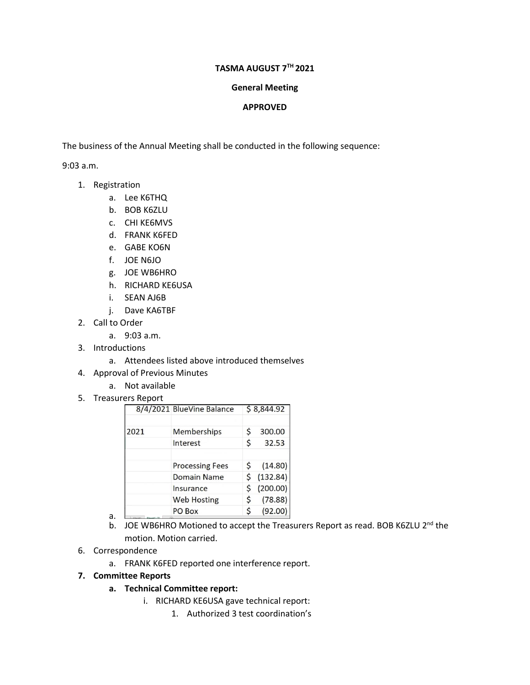## **TASMA AUGUST 7TH 2021**

## **General Meeting**

## **APPROVED**

The business of the Annual Meeting shall be conducted in the following sequence:

9:03 a.m.

- 1. Registration
	- a. Lee K6THQ
	- b. BOB K6ZLU
	- c. CHI KE6MVS
	- d. FRANK K6FED
	- e. GABE KO6N
	- f. JOE N6JO
	- g. JOE WB6HRO
	- h. RICHARD KE6USA
	- i. SEAN AJ6B
	- j. Dave KA6TBF
- 2. Call to Order
	- a. 9:03 a.m.
- 3. Introductions
	- a. Attendees listed above introduced themselves
- 4. Approval of Previous Minutes
	- a. Not available
- 5. Treasurers Report

|      | 8/4/2021 BlueVine Balance |    | \$8,844.92 |
|------|---------------------------|----|------------|
| 2021 | Memberships               | Ś  | 300.00     |
|      | Interest                  | Ś  | 32.53      |
|      | <b>Processing Fees</b>    | Ś  | (14.80)    |
|      | <b>Domain Name</b>        |    | (132.84)   |
|      | Insurance                 | \$ | (200.00)   |
|      | <b>Web Hosting</b>        |    | (78.88)    |
|      | PO Box                    |    | (92.00)    |

- b. JOE WB6HRO Motioned to accept the Treasurers Report as read. BOB K6ZLU 2<sup>nd</sup> the motion. Motion carried.
- 6. Correspondence

a.

a. FRANK K6FED reported one interference report.

## **7. Committee Reports**

- **a. Technical Committee report:**
	- i. RICHARD KE6USA gave technical report:
		- 1. Authorized 3 test coordination's